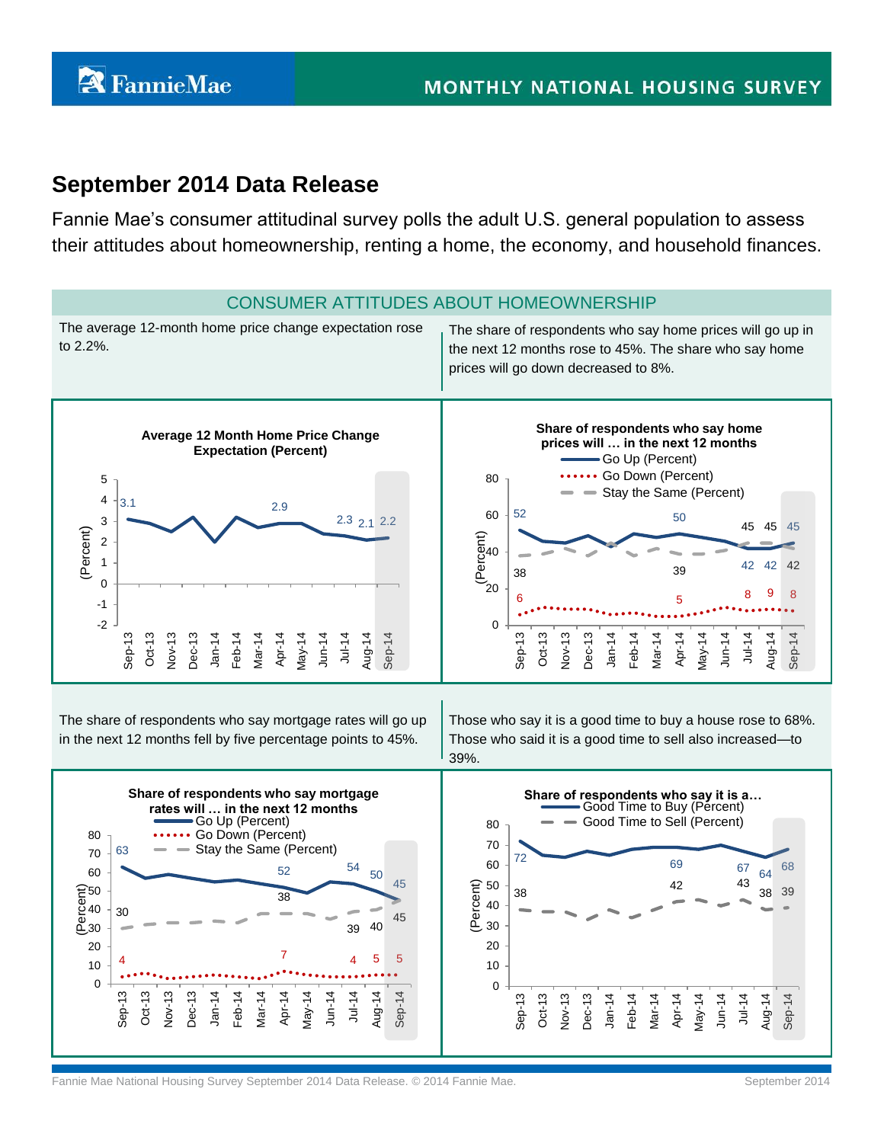# **September 2014 Data Release**

Fannie Mae's consumer attitudinal survey polls the adult U.S. general population to assess their attitudes about homeownership, renting a home, the economy, and household finances.



Fannie Mae National Housing Survey September 2014 Data Release. © 2014 Fannie Mae. September 2014 Fannie Mae September 2014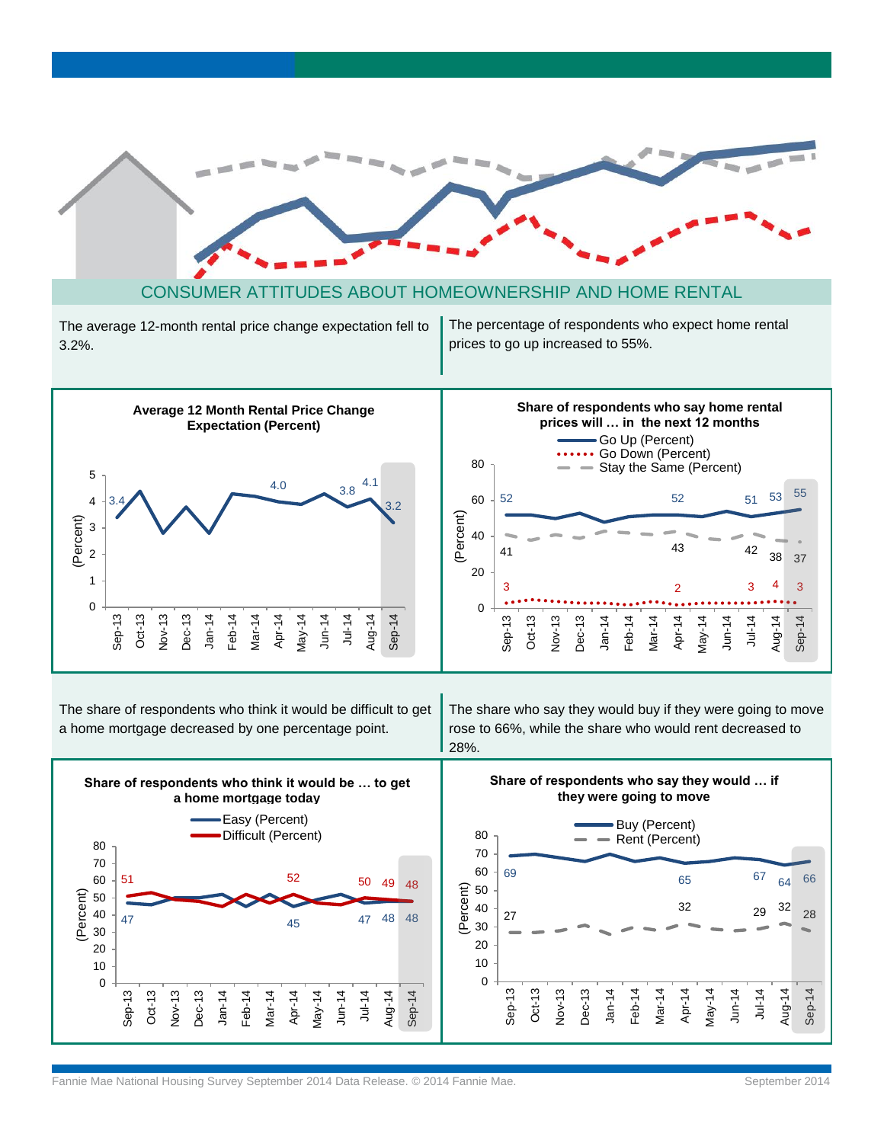

### CONSUMER ATTITUDES ABOUT HOMEOWNERSHIP AND HOME RENTAL

The average 12-month rental price change expectation fell to 3.2%.

The percentage of respondents who expect home rental prices to go up increased to 55%.



The share of respondents who think it would be difficult to get a home mortgage decreased by one percentage point.

The share who say they would buy if they were going to move rose to 66%, while the share who would rent decreased to 28%.

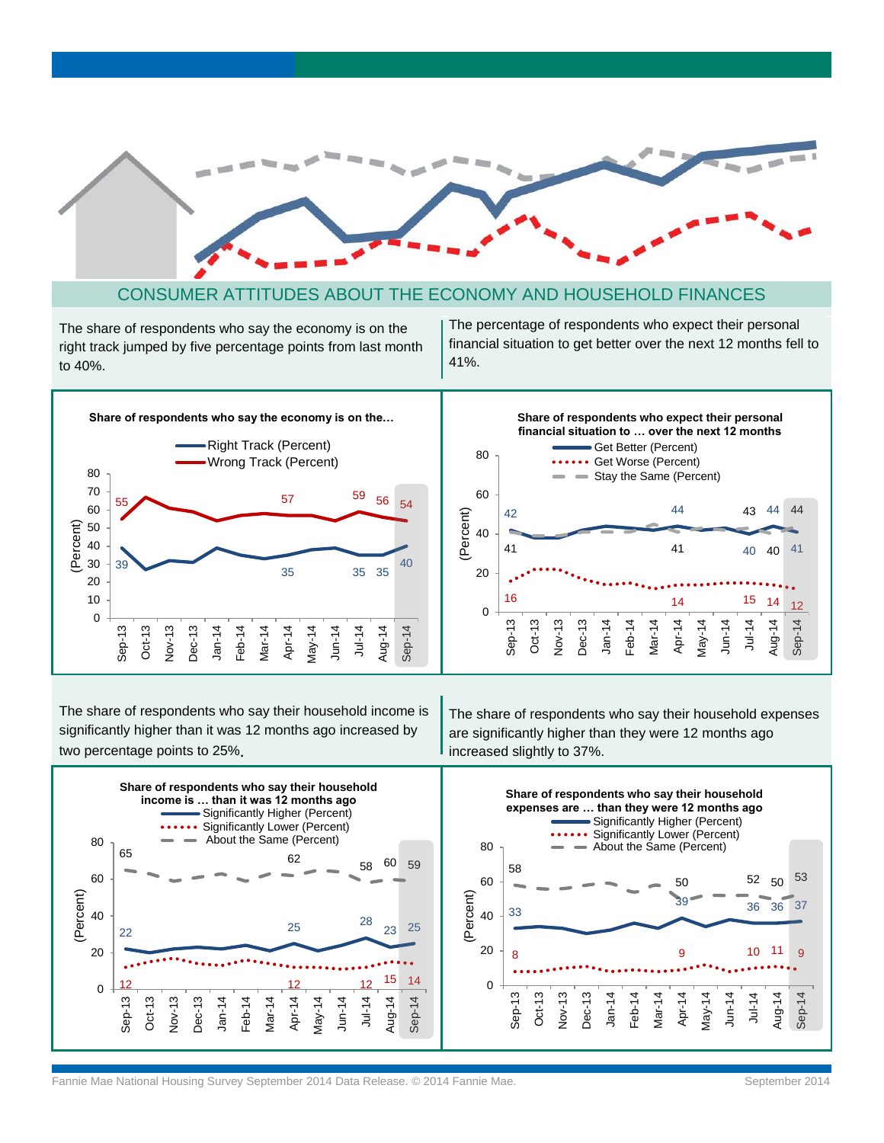

### CONSUMER ATTITUDES ABOUT THE ECONOMY AND HOUSEHOLD FINANCES

The share of respondents who say the economy is on the right track jumped by five percentage points from last month to 40%.

The percentage of respondents who expect their personal financial situation to get better over the next 12 months fell to 41%.



The share of respondents who say their household income is significantly higher than it was 12 months ago increased by two percentage points to 25%.

The share of respondents who say their household expenses are significantly higher than they were 12 months ago increased slightly to 37%.

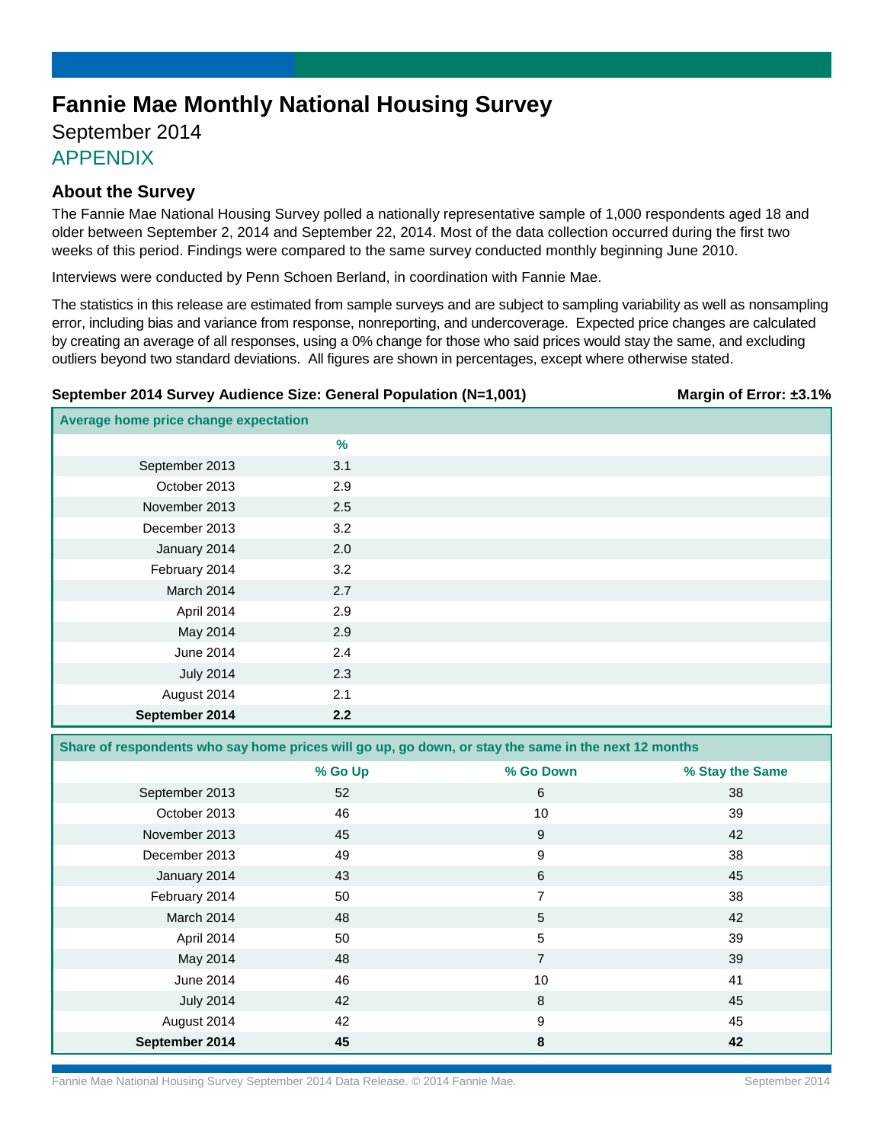# **Fannie Mae Monthly National Housing Survey**

## September 2014 APPENDIX

### **About the Survey**

The Fannie Mae National Housing Survey polled a nationally representative sample of 1,000 respondents aged 18 and older between September 2, 2014 and September 22, 2014. Most of the data collection occurred during the first two weeks of this period. Findings were compared to the same survey conducted monthly beginning June 2010.

Interviews were conducted by Penn Schoen Berland, in coordination with Fannie Mae.

The statistics in this release are estimated from sample surveys and are subject to sampling variability as well as nonsampling error, including bias and variance from response, nonreporting, and undercoverage. Expected price changes are calculated by creating an average of all responses, using a 0% change for those who said prices would stay the same, and excluding outliers beyond two standard deviations. All figures are shown in percentages, except where otherwise stated.

### **September 2014 Survey Audience Size: General Population (N=1,001) Margin of Error: ±3.1%**

| Average home price change expectation |               |  |
|---------------------------------------|---------------|--|
|                                       | $\frac{9}{6}$ |  |
| September 2013                        | 3.1           |  |
| October 2013                          | 2.9           |  |
| November 2013                         | 2.5           |  |
| December 2013                         | 3.2           |  |
| January 2014                          | 2.0           |  |
| February 2014                         | 3.2           |  |
| March 2014                            | 2.7           |  |
| April 2014                            | 2.9           |  |
| May 2014                              | 2.9           |  |
| June 2014                             | 2.4           |  |
| <b>July 2014</b>                      | 2.3           |  |
| August 2014                           | 2.1           |  |
| September 2014                        | 2.2           |  |

**Share of respondents who say home prices will go up, go down, or stay the same in the next 12 months**

|                  | % Go Up | % Go Down      | % Stay the Same |
|------------------|---------|----------------|-----------------|
| September 2013   | 52      | 6              | 38              |
| October 2013     | 46      | 10             | 39              |
| November 2013    | 45      | 9              | 42              |
| December 2013    | 49      | 9              | 38              |
| January 2014     | 43      | 6              | 45              |
| February 2014    | 50      | 7              | 38              |
| March 2014       | 48      | 5              | 42              |
| April 2014       | 50      | 5              | 39              |
| May 2014         | 48      | $\overline{7}$ | 39              |
| June 2014        | 46      | 10             | 41              |
| <b>July 2014</b> | 42      | 8              | 45              |
| August 2014      | 42      | 9              | 45              |
| September 2014   | 45      | 8              | 42              |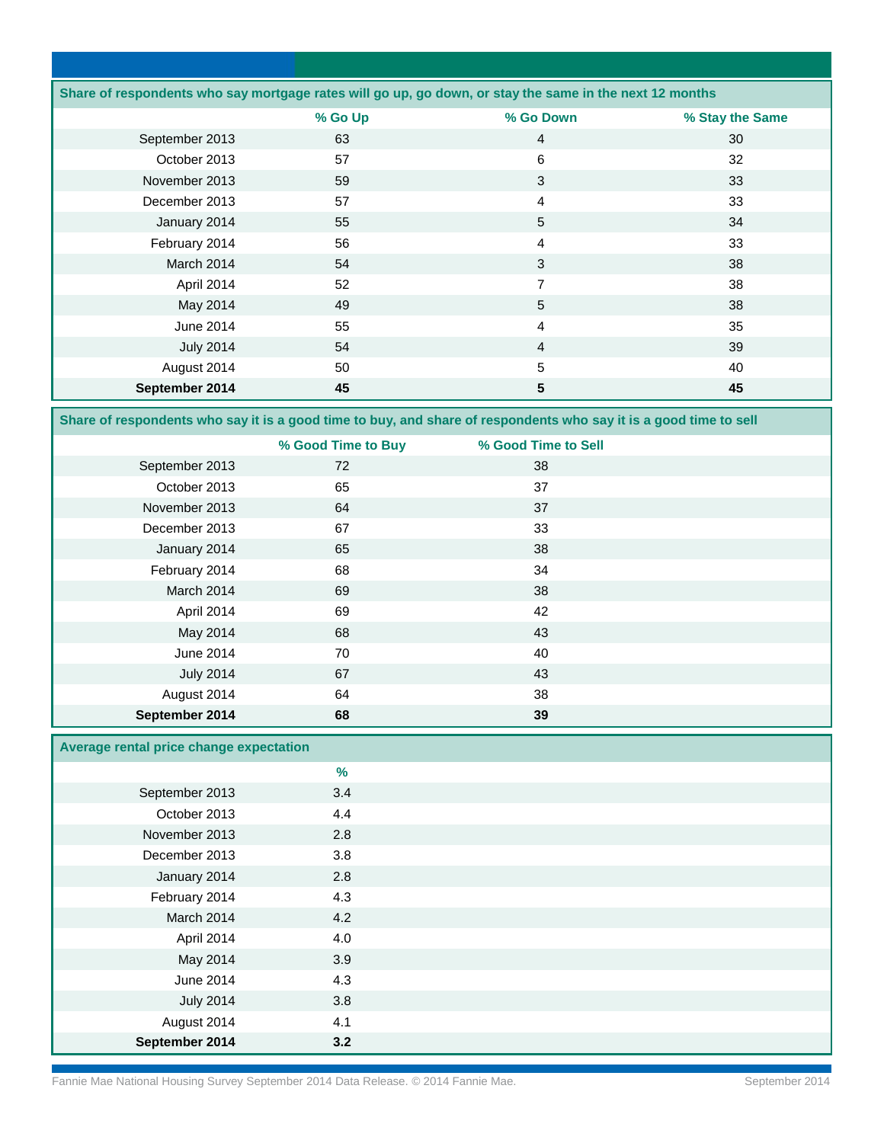|                  |         | Share of respondents who say mortgage rates will go up, go down, or stay the same in the next 12 months |                 |
|------------------|---------|---------------------------------------------------------------------------------------------------------|-----------------|
|                  | % Go Up | % Go Down                                                                                               | % Stay the Same |
| September 2013   | 63      | 4                                                                                                       | 30              |
| October 2013     | 57      | 6                                                                                                       | 32              |
| November 2013    | 59      | 3                                                                                                       | 33              |
| December 2013    | 57      | 4                                                                                                       | 33              |
| January 2014     | 55      | 5                                                                                                       | 34              |
| February 2014    | 56      | 4                                                                                                       | 33              |
| March 2014       | 54      | 3                                                                                                       | 38              |
| April 2014       | 52      | 7                                                                                                       | 38              |
| May 2014         | 49      | 5                                                                                                       | 38              |
| June 2014        | 55      | 4                                                                                                       | 35              |
| <b>July 2014</b> | 54      | $\overline{4}$                                                                                          | 39              |
| August 2014      | 50      | 5                                                                                                       | 40              |
| September 2014   | 45      | 5                                                                                                       | 45              |

**Share of respondents who say it is a good time to buy, and share of respondents who say it is a good time to sell**

|                  | % Good Time to Buy | % Good Time to Sell |  |
|------------------|--------------------|---------------------|--|
| September 2013   | 72                 | 38                  |  |
| October 2013     | 65                 | 37                  |  |
| November 2013    | 64                 | 37                  |  |
| December 2013    | 67                 | 33                  |  |
| January 2014     | 65                 | 38                  |  |
| February 2014    | 68                 | 34                  |  |
| March 2014       | 69                 | 38                  |  |
| April 2014       | 69                 | 42                  |  |
| May 2014         | 68                 | 43                  |  |
| June 2014        | 70                 | 40                  |  |
| <b>July 2014</b> | 67                 | 43                  |  |
| August 2014      | 64                 | 38                  |  |
| September 2014   | 68                 | 39                  |  |

### **Average rental price change expectation**

|                  | $\%$ |  |
|------------------|------|--|
| September 2013   | 3.4  |  |
| October 2013     | 4.4  |  |
| November 2013    | 2.8  |  |
| December 2013    | 3.8  |  |
| January 2014     | 2.8  |  |
| February 2014    | 4.3  |  |
| March 2014       | 4.2  |  |
| April 2014       | 4.0  |  |
| May 2014         | 3.9  |  |
| June 2014        | 4.3  |  |
| <b>July 2014</b> | 3.8  |  |
| August 2014      | 4.1  |  |
| September 2014   | 3.2  |  |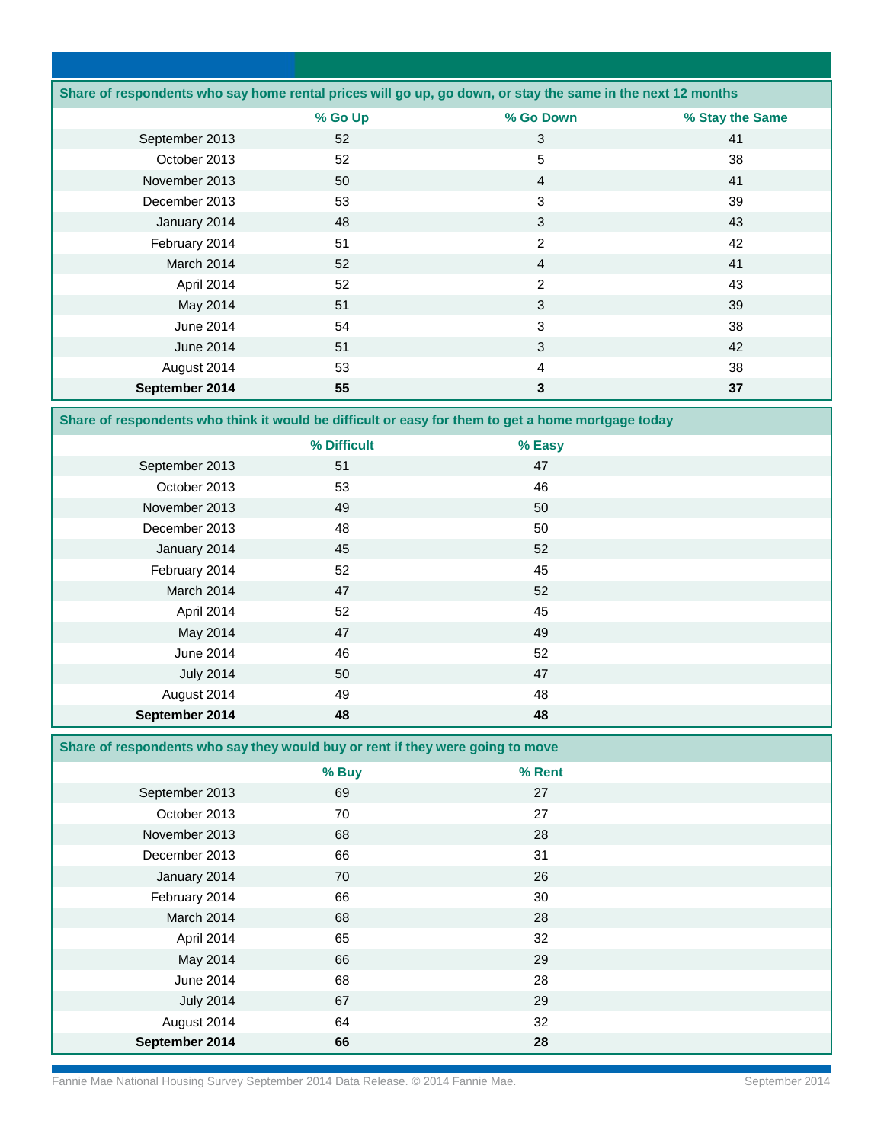| Share of respondents who say home rental prices will go up, go down, or stay the same in the next 12 months |         |                |                 |
|-------------------------------------------------------------------------------------------------------------|---------|----------------|-----------------|
|                                                                                                             | % Go Up | % Go Down      | % Stay the Same |
| September 2013                                                                                              | 52      | 3              | 41              |
| October 2013                                                                                                | 52      | 5              | 38              |
| November 2013                                                                                               | 50      | $\overline{4}$ | 41              |
| December 2013                                                                                               | 53      | 3              | 39              |
| January 2014                                                                                                | 48      | 3              | 43              |
| February 2014                                                                                               | 51      | $\overline{2}$ | 42              |
| March 2014                                                                                                  | 52      | $\overline{4}$ | 41              |
| April 2014                                                                                                  | 52      | 2              | 43              |
| May 2014                                                                                                    | 51      | 3              | 39              |
| June 2014                                                                                                   | 54      | 3              | 38              |
| June 2014                                                                                                   | 51      | 3              | 42              |
| August 2014                                                                                                 | 53      | 4              | 38              |
| September 2014                                                                                              | 55      | 3              | 37              |

**Share of respondents who think it would be difficult or easy for them to get a home mortgage today**

|                  | % Difficult | % Easy |  |
|------------------|-------------|--------|--|
| September 2013   | 51          | 47     |  |
| October 2013     | 53          | 46     |  |
| November 2013    | 49          | 50     |  |
| December 2013    | 48          | 50     |  |
| January 2014     | 45          | 52     |  |
| February 2014    | 52          | 45     |  |
| March 2014       | 47          | 52     |  |
| April 2014       | 52          | 45     |  |
| May 2014         | 47          | 49     |  |
| June 2014        | 46          | 52     |  |
| <b>July 2014</b> | 50          | 47     |  |
| August 2014      | 49          | 48     |  |
| September 2014   | 48          | 48     |  |

**Share of respondents who say they would buy or rent if they were going to move** 

|                  | % Buy | % Rent |  |
|------------------|-------|--------|--|
| September 2013   | 69    | 27     |  |
| October 2013     | 70    | 27     |  |
| November 2013    | 68    | 28     |  |
| December 2013    | 66    | 31     |  |
| January 2014     | 70    | 26     |  |
| February 2014    | 66    | 30     |  |
| March 2014       | 68    | 28     |  |
| April 2014       | 65    | 32     |  |
| May 2014         | 66    | 29     |  |
| June 2014        | 68    | 28     |  |
| <b>July 2014</b> | 67    | 29     |  |
| August 2014      | 64    | 32     |  |
| September 2014   | 66    | 28     |  |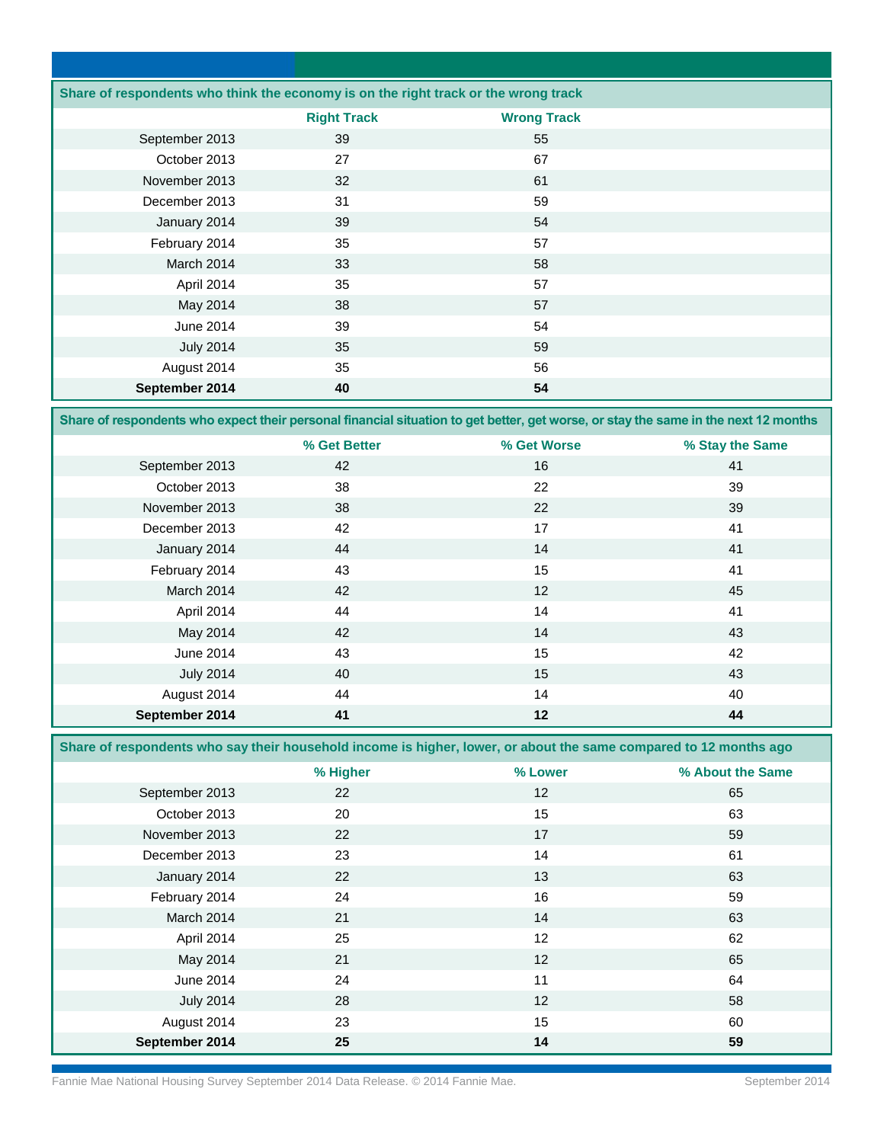| Share of respondents who think the economy is on the right track or the wrong track |                    |                    |  |
|-------------------------------------------------------------------------------------|--------------------|--------------------|--|
|                                                                                     | <b>Right Track</b> | <b>Wrong Track</b> |  |
| September 2013                                                                      | 39                 | 55                 |  |
| October 2013                                                                        | 27                 | 67                 |  |
| November 2013                                                                       | 32                 | 61                 |  |
| December 2013                                                                       | 31                 | 59                 |  |
| January 2014                                                                        | 39                 | 54                 |  |
| February 2014                                                                       | 35                 | 57                 |  |
| March 2014                                                                          | 33                 | 58                 |  |
| April 2014                                                                          | 35                 | 57                 |  |
| May 2014                                                                            | 38                 | 57                 |  |
| June 2014                                                                           | 39                 | 54                 |  |
| <b>July 2014</b>                                                                    | 35                 | 59                 |  |
| August 2014                                                                         | 35                 | 56                 |  |
| September 2014                                                                      | 40                 | 54                 |  |

**Share of respondents who expect their personal financial situation to get better, get worse, or stay the same in the next 12 months**

|                  | % Get Better | % Get Worse | % Stay the Same |
|------------------|--------------|-------------|-----------------|
| September 2013   | 42           | 16          | 41              |
| October 2013     | 38           | 22          | 39              |
| November 2013    | 38           | 22          | 39              |
| December 2013    | 42           | 17          | 41              |
| January 2014     | 44           | 14          | 41              |
| February 2014    | 43           | 15          | 41              |
| March 2014       | 42           | 12          | 45              |
| April 2014       | 44           | 14          | 41              |
| May 2014         | 42           | 14          | 43              |
| June 2014        | 43           | 15          | 42              |
| <b>July 2014</b> | 40           | 15          | 43              |
| August 2014      | 44           | 14          | 40              |
| September 2014   | 41           | 12          | 44              |

**Share of respondents who say their household income is higher, lower, or about the same compared to 12 months ago** 

|                  | % Higher | % Lower         | % About the Same |
|------------------|----------|-----------------|------------------|
| September 2013   | 22       | 12              | 65               |
| October 2013     | 20       | 15              | 63               |
| November 2013    | 22       | 17              | 59               |
| December 2013    | 23       | 14              | 61               |
| January 2014     | 22       | 13              | 63               |
| February 2014    | 24       | 16              | 59               |
| March 2014       | 21       | 14              | 63               |
| April 2014       | 25       | 12              | 62               |
| May 2014         | 21       | 12              | 65               |
| June 2014        | 24       | 11              | 64               |
| <b>July 2014</b> | 28       | 12 <sup>°</sup> | 58               |
| August 2014      | 23       | 15              | 60               |
| September 2014   | 25       | 14              | 59               |